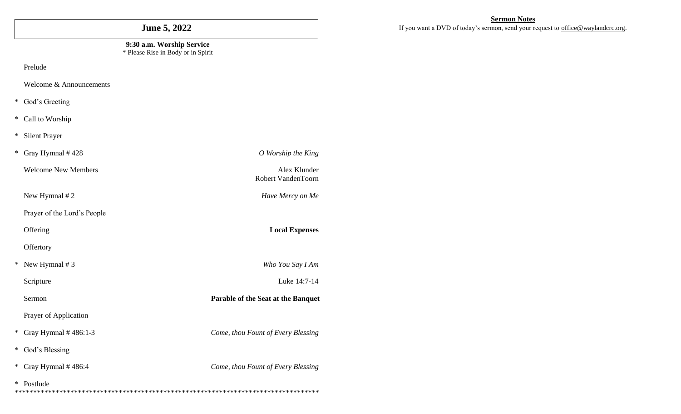# **June 5, 2022**

#### **9:30 a.m. Worship Service** \* Please Rise in Body or in Spirit

Robert VandenToorn

Prelude

Welcome & Announcements

- \* God's Greeting
- \* Call to Worship
- \* Silent Prayer

\* Gray Hymnal # 428 *O Worship the King*

Welcome New Members **Alex Klunder** 

New Hymnal # 2 *Have Mercy on Me*

Prayer of the Lord's People

Offering **Local Expenses** 

**Offertory** 

*\** New Hymnal # 3 *Who You Say I Am*

Scripture Luke 14:7-14

Sermon **Parable of the Seat at the Banquet**

Prayer of Application

\* Gray Hymnal # 486:1-3 *Come, thou Fount of Every Blessing*

\* God's Blessing

\* Gray Hymnal # 486:4 *Come, thou Fount of Every Blessing*

\* Postlude \*\*\*\*\*\*\*\*\*\*\*\*\*\*\*\*\*\*\*\*\*\*\*\*\*\*\*\*\*\*\*\*\*\*\*\*\*\*\*\*\*\*\*\*\*\*\*\*\*\*\*\*\*\*\*\*\*\*\*\*\*\*\*\*\*\*\*\*\*\*\*\*\*\*\*\*\*\*\*\*\*\*

## **Sermon Notes**

If you want a DVD of today's sermon, send your request to [office@waylandcrc.org](mailto:office@waylandcrc.org).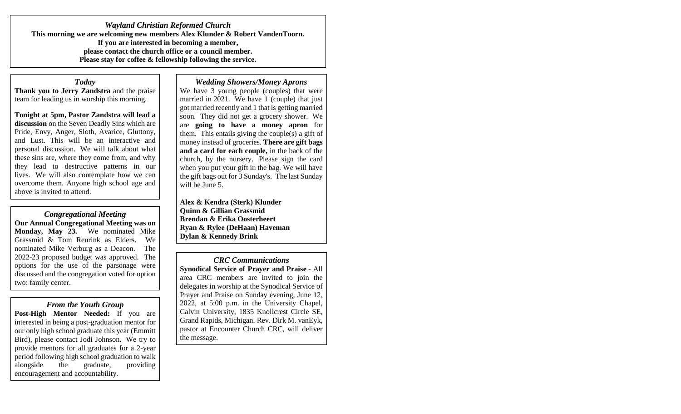*Wayland Christian Reformed Church* **This morning we are welcoming new members Alex Klunder & Robert VandenToorn. If you are interested in becoming a member, please contact the church office or a council member. Please stay for coffee & fellowship following the service.** 

#### *Today*

**Thank you to Jerry Zandstra** and the praise team for leading us in worship this morning.

**Tonight at 5pm, Pastor Zandstra will lead a discussion** on the Seven Deadly Sins which are Pride, Envy, Anger, Sloth, Avarice, Gluttony, and Lust. This will be an interactive and personal discussion. We will talk about what these sins are, where they come from, and why they lead to destructive patterns in our lives. We will also contemplate how we can overcome them. Anyone high school age and above is invited to attend.

*Congregational Meeting* **Our Annual Congregational Meeting was on Monday, May 23.** We nominated Mike Grassmid & Tom Reurink as Elders. We nominated Mike Verburg as a Deacon. The 2022-23 proposed budget was approved. The options for the use of the parsonage were discussed and the congregation voted for option two: family center.

*From the Youth Group* **Post-High Mentor Needed:** If you are interested in being a post-graduation mentor for our only high school graduate this year (Emmitt Bird), please contact Jodi Johnson. We try to provide mentors for all graduates for a 2-year period following high school graduation to walk alongside the graduate, providing encouragement and accountability.

#### *Wedding Showers/Money Aprons*

We have 3 young people (couples) that were married in 2021. We have 1 (couple) that just got married recently and 1 that is getting married soon. They did not get a grocery shower. We are **going to have a money apron** for them. This entails giving the couple(s) a gift of money instead of groceries. **There are gift bags and a card for each couple,** in the back of the church, by the nursery. Please sign the card when you put your gift in the bag. We will have the gift bags out for 3 Sunday's. The last Sunday will be June 5.

**Alex & Kendra (Sterk) Klunder Quinn & Gillian Grassmid Brendan & Erika Oosterheert Ryan & Rylee (DeHaan) Haveman Dylan & Kennedy Brink**

*CRC Communications* **Synodical Service of Prayer and Praise** - All area CRC members are invited to join the delegates in worship at the Synodical Service of Prayer and Praise on Sunday evening, June 12, 2022, at 5:00 p.m. in the University Chapel, Calvin University, 1835 Knollcrest Circle SE, Grand Rapids, Michigan. Rev. Dirk M. vanEyk, pastor at Encounter Church CRC, will deliver the message.